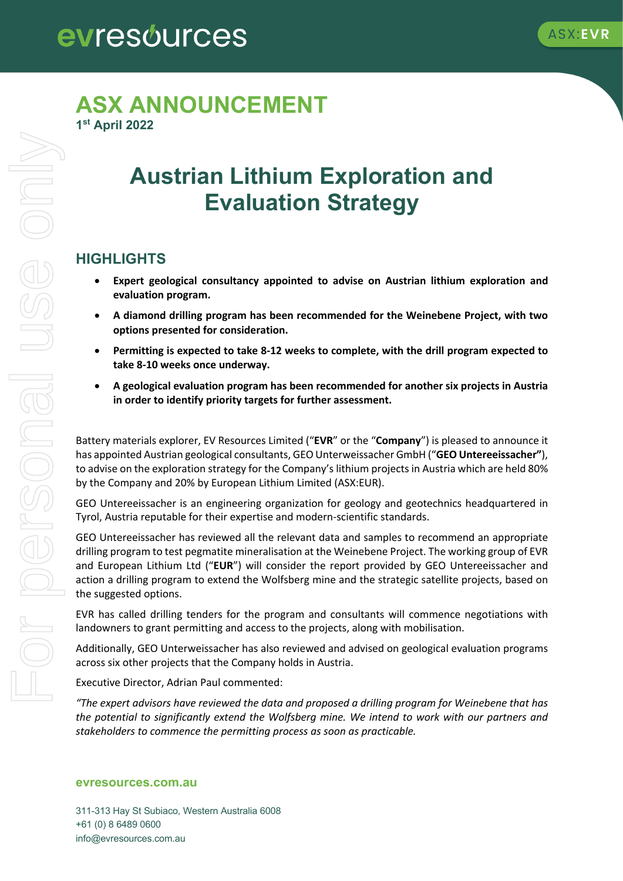

### **ASX ANNOUNCEMENT 1st April 2022**

### **Austrian Lithium Exploration and Evaluation Strategy**

### **HIGHLIGHTS**

- **Expert geological consultancy appointed to advise on Austrian lithium exploration and evaluation program.**
- **A diamond drilling program has been recommended for the Weinebene Project, with two options presented for consideration.**
- **Permitting is expected to take 8-12 weeks to complete, with the drill program expected to take 8-10 weeks once underway.**
- **A geological evaluation program has been recommended for another six projects in Austria in order to identify priority targets for further assessment.**

Battery materials explorer, EV Resources Limited ("**EVR**" or the "**Company**") is pleased to announce it has appointed Austrian geological consultants, GEO Unterweissacher GmbH ("**GEO Untereeissacher"**), to advise on the exploration strategy for the Company's lithium projects in Austria which are held 80% by the Company and 20% by European Lithium Limited (ASX:EUR).

GEO Untereeissacher is an engineering organization for geology and geotechnics headquartered in Tyrol, Austria reputable for their expertise and modern-scientific standards.

GEO Untereeissacher has reviewed all the relevant data and samples to recommend an appropriate drilling program to test pegmatite mineralisation at the Weinebene Project. The working group of EVR and European Lithium Ltd ("**EUR**") will consider the report provided by GEO Untereeissacher and action a drilling program to extend the Wolfsberg mine and the strategic satellite projects, based on the suggested options.

EVR has called drilling tenders for the program and consultants will commence negotiations with landowners to grant permitting and access to the projects, along with mobilisation.

Additionally, GEO Unterweissacher has also reviewed and advised on geological evaluation programs across six other projects that the Company holds in Austria.

Executive Director, Adrian Paul commented:

*"The expert advisors have reviewed the data and proposed a drilling program for Weinebene that has the potential to significantly extend the Wolfsberg mine. We intend to work with our partners and stakeholders to commence the permitting process as soon as practicable.*

#### **evresources.com.au**

311-313 Hay St Subiaco, Western Australia 6008 +61 (0) 8 6489 0600 info@evresources.com.au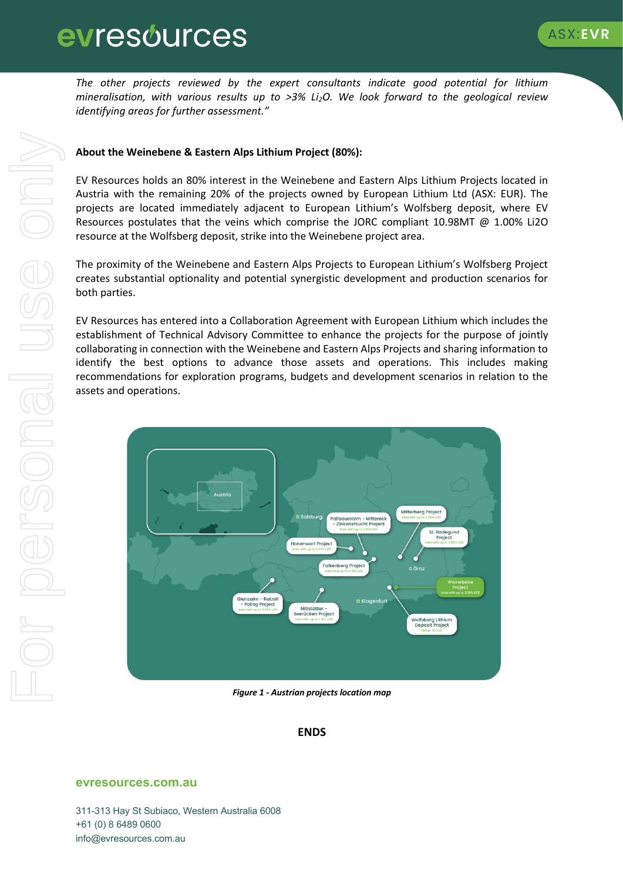# evresources



*The other projects reviewed by the expert consultants indicate good potential for lithium mineralisation, with various results up to >3% Li2O. We look forward to the geological review identifying areas for further assessment."*

#### **About the Weinebene & Eastern Alps Lithium Project (80%):**

EV Resources holds an 80% interest in the Weinebene and Eastern Alps Lithium Projects located in Austria with the remaining 20% of the projects owned by European Lithium Ltd (ASX: EUR). The projects are located immediately adjacent to European Lithium's Wolfsberg deposit, where EV Resources postulates that the veins which comprise the JORC compliant 10.98MT @ 1.00% Li2O resource at the Wolfsberg deposit, strike into the Weinebene project area.

The proximity of the Weinebene and Eastern Alps Projects to European Lithium's Wolfsberg Project creates substantial optionality and potential synergistic development and production scenarios for both parties.

EV Resources has entered into a Collaboration Agreement with European Lithium which includes the establishment of Technical Advisory Committee to enhance the projects for the purpose of jointly collaborating in connection with the Weinebene and Eastern Alps Projects and sharing information to identify the best options to advance those assets and operations. This includes making recommendations for exploration programs, budgets and development scenarios in relation to the assets and operations.



*Figure 1 - Austrian projects location map*

#### **ENDS**

#### **evresources.com.au**

311-313 Hay St Subiaco, Western Australia 6008 +61 (0) 8 6489 0600 info@evresources.com.au